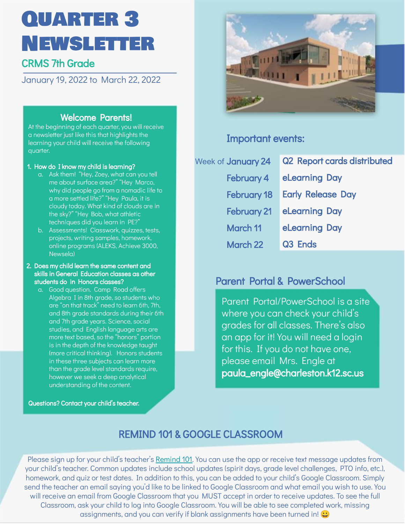# Quarter 3 Newsletter

## CRMS 7th Grade

January 19, 2022 to March 22, 2022

#### Welcome Parents!

At the beginning of each quarter, you will receive a newsletter just like this that highlights the learning your child will receive the following quarter.

#### 1. How do I know my child is learning?

- a. Ask them! "Hey, Zoey, what can you tell me about surface area?" "Hey Marco, why did people go from a nomadic life to a more settled life?" "Hey Paula, it is cloudy today. What kind of clouds are in the sky?" "Hey Bob, what athletic techniques did you learn in PE?"
- b. Assessments! Classwork, quizzes, tests, projects, writing samples, homework, online programs (ALEKS, Achieve 3000, Newsela)

#### 2. Does my child learn the same content and skills in General Education classes as other students do in Honors classes?

a. Good question. Camp Road offers Algebra I in 8th grade, so students who are "on that track" need to learn 6th, 7th, and 8th grade standards during their 6th and 7th grade years. Science, social studies, and English language arts are more text based, so the "honors" portion is in the depth of the knowledge taught (more critical thinking). Honors students in these three subjects can learn more than the grade level standards require, however we seek a deep analytical understanding of the content.

Questions? Contact your child's teacher.



#### Important events:

| Week of January 24 | <b>Q2 Report cards distributed</b> |
|--------------------|------------------------------------|
| February 4         | eLearning Day                      |
| <b>February 18</b> | <b>Early Release Day</b>           |
| <b>February 21</b> | eLearning Day                      |
| <b>March 11</b>    | eLearning Day                      |
| March 22           | Q <sub>3</sub> Ends                |

### Parent Portal & PowerSchool

Parent Portal/PowerSchool is a site where you can check your child's grades for all classes. There's also an app for it! You will need a login for this. If you do not have one, please email Mrs. Engle at paula\_engle@charleston.k12.sc.us

## REMIND 101 & GOOGLE CLASSROOM

Please sign up for your child's teacher's [Remind 101.](https://docs.google.com/document/d/1s853RgOB9KkPU8PA2CTDaXIBZhHZ4T9Mobh2j2-w5m8/edit?usp=sharing) You can use the app or receive text message updates from your child's teacher. Common updates include school updates (spirit days, grade level challenges, PTO info, etc.), homework, and quiz or test dates. In addition to this, you can be added to your child's Google Classroom. Simply send the teacher an email saying you'd like to be linked to Google Classroom and what email you wish to use. You will receive an email from Google Classroom that you MUST accept in order to receive updates. To see the full Classroom, ask your child to log into Google Classroom. You will be able to see completed work, missing assignments, and you can verify if blank assignments have been turned in!  $\bigcirc$